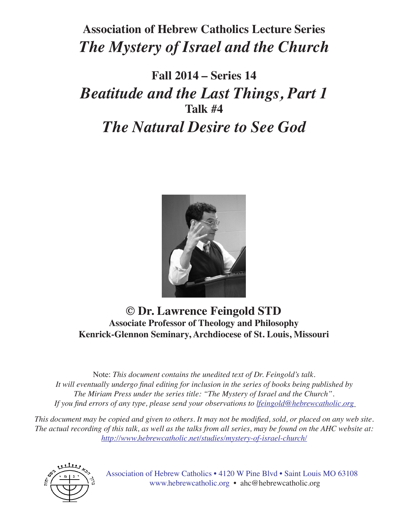**Association of Hebrew Catholics Lecture Series** *The Mystery of Israel and the Church*

# **Fall 2014 – Series 14** *Beatitude and the Last Things, Part 1* **Talk #4** *The Natural Desire to See God*



### **© Dr. Lawrence Feingold STD Associate Professor of Theology and Philosophy Kenrick-Glennon Seminary, Archdiocese of St. Louis, Missouri**

Note: *This document contains the unedited text of Dr. Feingold's talk. It will eventually undergo final editing for inclusion in the series of books being published by The Miriam Press under the series title: "The Mystery of Israel and the Church". If you find errors of any type, please send your observations to lfeingold@hebrewcatholic.org*

*This document may be copied and given to others. It may not be modified, sold, or placed on any web site. The actual recording of this talk, as well as the talks from all series, may be found on the AHC website at: http://www.hebrewcatholic.net/studies/mystery-of-israel-church/*



Association of Hebrew Catholics • 4120 W Pine Blvd • Saint Louis MO 63108 www.hebrewcatholic.org • ahc@hebrewcatholic.org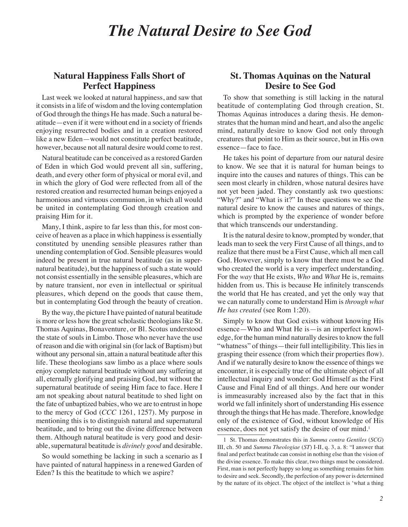## *The Natural Desire to See God*

#### **Natural Happiness Falls Short of Perfect Happiness**

Last week we looked at natural happiness, and saw that it consists in a life of wisdom and the loving contemplation of God through the things He has made. Such a natural beatitude—even if it were without end in a society of friends enjoying resurrected bodies and in a creation restored like a new Eden—would not constitute perfect beatitude, however, because not all natural desire would come to rest.

Natural beatitude can be conceived as a restored Garden of Eden in which God would prevent all sin, suffering, death, and every other form of physical or moral evil, and in which the glory of God were reflected from all of the restored creation and resurrected human beings enjoyed a harmonious and virtuous communion, in which all would be united in contemplating God through creation and praising Him for it.

Many, I think, aspire to far less than this, for most conceive of heaven as a place in which happiness is essentially constituted by unending sensible pleasures rather than unending contemplation of God. Sensible pleasures would indeed be present in true natural beatitude (as in supernatural beatitude), but the happiness of such a state would not consist essentially in the sensible pleasures, which are by nature transient, nor even in intellectual or spiritual pleasures, which depend on the goods that cause them, but in contemplating God through the beauty of creation.

By the way, the picture I have painted of natural beatitude is more or less how the great scholastic theologians like St. Thomas Aquinas, Bonaventure, or Bl. Scotus understood the state of souls in Limbo. Those who never have the use of reason and die with original sin (for lack of Baptism) but without any personal sin, attain a natural beatitude after this life. These theologians saw limbo as a place where souls enjoy complete natural beatitude without any suffering at all, eternally glorifying and praising God, but without the supernatural beatitude of seeing Him face to face. Here I am not speaking about natural beatitude to shed light on the fate of unbaptized babies, who we are to entrust in hope to the mercy of God (*CCC* 1261, 1257). My purpose in mentioning this is to distinguish natural and supernatural beatitude, and to bring out the divine difference between them. Although natural beatitude is very good and desirable, supernatural beatitude is *divinely good* and desirable.

So would something be lacking in such a scenario as I have painted of natural happiness in a renewed Garden of Eden? Is this the beatitude to which we aspire?

#### **St. Thomas Aquinas on the Natural Desire to See God**

To show that something is still lacking in the natural beatitude of contemplating God through creation, St. Thomas Aquinas introduces a daring thesis. He demonstrates that the human mind and heart, and also the angelic mind, naturally desire to know God not only through creatures that point to Him as their source, but in His own essence—face to face.

He takes his point of departure from our natural desire to know. We see that it is natural for human beings to inquire into the causes and natures of things. This can be seen most clearly in children, whose natural desires have not yet been jaded. They constantly ask two questions: "Why?" and "What is it?" In these questions we see the natural desire to know the causes and natures of things, which is prompted by the experience of wonder before that which transcends our understanding.

It is the natural desire to know, prompted by wonder, that leads man to seek the very First Cause of all things, and to realize that there must be a First Cause, which all men call God. However, simply to know that there must be a God who created the world is a very imperfect understanding. For the *way* that He exists, *Who* and *What* He is, remains hidden from us. This is because He infinitely transcends the world that He has created, and yet the only way that we can naturally come to understand Him is *through what He has created* (see Rom 1:20).

Simply to know that God exists without knowing His essence—Who and What He is—is an imperfect knowledge, for the human mind naturally desires to know the full "whatness" of things—their full intelligibility. This lies in grasping their essence (from which their properties flow). And if we naturally desire to know the essence of things we encounter, it is especially true of the ultimate object of all intellectual inquiry and wonder: God Himself as the First Cause and Final End of all things. And here our wonder is immeasurably increased also by the fact that in this world we fall infinitely short of understanding His essence through the things that He has made. Therefore, knowledge only of the existence of God, without knowledge of His essence, does not yet satisfy the desire of our mind.<sup>1</sup>

<sup>1</sup> St. Thomas demonstrates this in *Summa contra Gentiles* (*SCG*) III, ch. 50 and *Summa Theologiae* (*ST*) I-II, q. 3, a. 8: "I answer that final and perfect beatitude can consist in nothing else than the vision of the divine essence. To make this clear, two things must be considered. First, man is not perfectly happy so long as something remains for him to desire and seek. Secondly, the perfection of any power is determined by the nature of its object. The object of the intellect is 'what a thing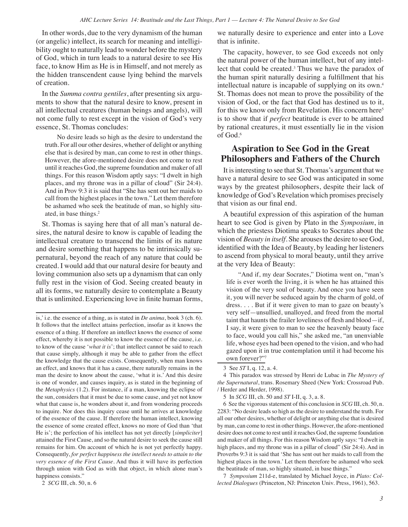In other words, due to the very dynamism of the human (or angelic) intellect, its search for meaning and intelligibility ought to naturally lead to wonder before the mystery of God, which in turn leads to a natural desire to see His face, to know Him as He is in Himself, and not merely as the hidden transcendent cause lying behind the marvels of creation.

In the *Summa contra gentiles*, after presenting six arguments to show that the natural desire to know, present in all intellectual creatures (human beings and angels), will not come fully to rest except in the vision of God's very essence, St. Thomas concludes:

No desire leads so high as the desire to understand the truth. For all our other desires, whether of delight or anything else that is desired by man, can come to rest in other things. However, the afore-mentioned desire does not come to rest until it reaches God, the supreme foundation and maker of all things. For this reason Wisdom aptly says: "I dwelt in high places, and my throne was in a pillar of cloud" (Sir 24:4). And in Prov 9:3 it is said that "She has sent out her maids to call from the highest places in the town." Let them therefore be ashamed who seek the beatitude of man, so highly situated, in base things.2

St. Thomas is saying here that of all man's natural desires, the natural desire to know is capable of leading the intellectual creature to transcend the limits of its nature and desire something that happens to be intrinsically supernatural, beyond the reach of any nature that could be created. I would add that our natural desire for beauty and loving communion also sets up a dynamism that can only fully rest in the vision of God. Seeing created beauty in all its forms, we naturally desire to contemplate a Beauty that is unlimited. Experiencing love in finite human forms,

2 *SCG* III, ch. 50, n. 6

we naturally desire to experience and enter into a Love that is infinite.

The capacity, however, to see God exceeds not only the natural power of the human intellect, but of any intellect that could be created.<sup>3</sup> Thus we have the paradox of the human spirit naturally desiring a fulfillment that his intellectual nature is incapable of supplying on its own.4 St. Thomas does not mean to prove the possibility of the vision of God, or the fact that God has destined us to it, for this we know only from Revelation. His concern here<sup>5</sup> is to show that if *perfect* beatitude is ever to be attained by rational creatures, it must essentially lie in the vision of God.6

#### **Aspiration to See God in the Great Philosophers and Fathers of the Church**

It is interesting to see that St. Thomas's argument that we have a natural desire to see God was anticipated in some ways by the greatest philosophers, despite their lack of knowledge of God's Revelation which promises precisely that vision as our final end.

A beautiful expression of this aspiration of the human heart to see God is given by Plato in the *Symposium*, in which the priestess Diotima speaks to Socrates about the vision of *Beauty in itself*. She arouses the desire to see God, identified with the Idea of Beauty, by leading her listeners to ascend from physical to moral beauty, until they arrive at the very Idea of Beauty:

"And if, my dear Socrates," Diotima went on, "man's life is ever worth the living, it is when he has attained this vision of the very soul of beauty. And once you have seen it, you will never be seduced again by the charm of gold, of dress. . . . But if it were given to man to gaze on beauty's very self—unsullied, unalloyed, and freed from the mortal taint that haunts the frailer loveliness of flesh and blood—if, I say, it were given to man to see the heavenly beauty face to face, would you call his," she asked me, "an unenviable life, whose eyes had been opened to the vision, and who had gazed upon it in true contemplation until it had become his own forever?"7

4 This paradox was stressed by Henri de Lubac in *The Mystery of the Supernatural*, trans. Rosemary Sheed (New York: Crossroad Pub. / Herder and Herder, 1998).

5 In *SCG* III, ch. 50 and *ST* I-II, q. 3, a. 8.

6 See the vigorous statement of this conclusion in *SCG* III, ch. 50, n. 2283: "No desire leads so high as the desire to understand the truth. For all our other desires, whether of delight or anything else that is desired by man, can come to rest in other things. However, the afore-mentioned desire does not come to rest until it reaches God, the supreme foundation and maker of all things. For this reason Wisdom aptly says: "I dwelt in high places, and my throne was in a pillar of cloud" (Sir 24:4). And in Proverbs 9:3 it is said that 'She has sent out her maids to call from the highest places in the town.' Let them therefore be ashamed who seek the beatitude of man, so highly situated, in base things."

7 *Symposium* 211d-e, translated by Michael Joyce, in *Plato: Collected Dialogues* (Princeton, NJ: Princeton Univ. Press, 1961), 563.

is,' i.e. the essence of a thing, as is stated in *De anima*, book 3 (ch. 6). It follows that the intellect attains perfection, insofar as it knows the essence of a thing. If therefore an intellect knows the essence of some effect, whereby it is not possible to know the essence of the cause, i.e. to know of the cause '*what it is*'; that intellect cannot be said to reach that cause simply, although it may be able to gather from the effect the knowledge that the cause exists. Consequently, when man knows an effect, and knows that it has a cause, there naturally remains in the man the desire to know about the cause, 'what it is.' And this desire is one of wonder, and causes inquiry, as is stated in the beginning of the *Metaphysics* (1.2). For instance, if a man, knowing the eclipse of the sun, considers that it must be due to some cause, and yet not know what that cause is, he wonders about it, and from wondering proceeds to inquire. Nor does this inquiry cease until he arrives at knowledge of the essence of the cause. If therefore the human intellect, knowing the essence of some created effect, knows no more of God than 'that He is'; the perfection of his intellect has not yet directly [*simpliciter*] attained the First Cause, and so the natural desire to seek the cause still remains for him. On account of which he is not yet perfectly happy. Consequently, *for perfect happiness the intellect needs to attain to the very essence of the First Cause*. And thus it will have its perfection through union with God as with that object, in which alone man's happiness consists."

<sup>3</sup> See *ST* I, q. 12, a. 4.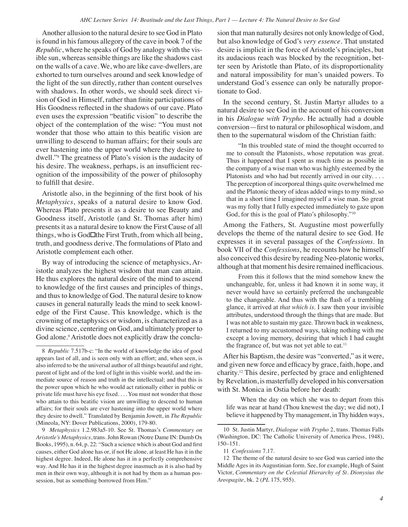Another allusion to the natural desire to see God in Plato is found in his famous allegory of the cave in book 7 of the *Republic*, where he speaks of God by analogy with the visible sun, whereas sensible things are like the shadows cast on the walls of a cave. We, who are like cave-dwellers, are exhorted to turn ourselves around and seek knowledge of the light of the sun directly, rather than content ourselves with shadows. In other words, we should seek direct vision of God in Himself, rather than finite participations of His Goodness reflected in the shadows of our cave. Plato even uses the expression "beatific vision" to describe the object of the contemplation of the wise: "You must not wonder that those who attain to this beatific vision are unwilling to descend to human affairs; for their souls are ever hastening into the upper world where they desire to dwell."8 The greatness of Plato's vision is the audacity of his desire. The weakness, perhaps, is an insufficient recognition of the impossibility of the power of philosophy to fulfill that desire.

Aristotle also, in the beginning of the first book of his *Metaphysics*, speaks of a natural desire to know God. Whereas Plato presents it as a desire to see Beauty and Goodness itself, Aristotle (and St. Thomas after him) presents it as a natural desire to know the First Cause of all things, who is  $God$  the First Truth, from which all being, truth, and goodness derive. The formulations of Plato and Aristotle complement each other.

By way of introducing the science of metaphysics, Aristotle analyzes the highest wisdom that man can attain. He thus explores the natural desire of the mind to ascend to knowledge of the first causes and principles of things, and thus to knowledge of God. The natural desire to know causes in general naturally leads the mind to seek knowledge of the First Cause. This knowledge, which is the crowning of metaphysics or wisdom, is characterized as a divine science, centering on God, and ultimately proper to God alone.<sup>9</sup> Aristotle does not explicitly draw the conclusion that man naturally desires not only knowledge of God, but also knowledge of God's *very essence*. That unstated desire is implicit in the force of Aristotle's principles, but its audacious reach was blocked by the recognition, better seen by Aristotle than Plato, of its disproportionality and natural impossibility for man's unaided powers. To understand God's essence can only be naturally proportionate to God.

In the second century, St. Justin Martyr alludes to a natural desire to see God in the account of his conversion in his *Dialogue with Trypho*. He actually had a double conversion—first to natural or philosophical wisdom, and then to the supernatural wisdom of the Christian faith:

"In this troubled state of mind the thought occurred to me to consult the Platonists, whose reputation was great. Thus it happened that I spent as much time as possible in the company of a wise man who was highly esteemed by the Platonists and who had but recently arrived in our city. . . . The perception of incorporeal things quite overwhelmed me and the Platonic theory of ideas added wings to my mind, so that in a short time I imagined myself a wise man. So great was my folly that I fully expected immediately to gaze upon God, for this is the goal of Plato's philosophy."10

Among the Fathers, St. Augustine most powerfully develops the theme of the natural desire to see God. He expresses it in several passages of the *Confessions*. In book VII of the *Confessions*, he recounts how he himself also conceived this desire by reading Neo-platonic works, although at that moment his desire remained inefficacious.

From this it follows that the mind somehow knew the unchangeable, for, unless it had known it in some way, it never would have so certainly preferred the unchangeable to the changeable. And thus with the flash of a trembling glance, it arrived at *that which is*. I saw then your invisible attributes, understood through the things that are made. But I was not able to sustain my gaze. Thrown back in weakness, I returned to my accustomed ways, taking nothing with me except a loving memory, desiring that which I had caught the fragrance of, but was not yet able to eat.<sup>11</sup>

After his Baptism, the desire was "converted," as it were, and given new force and efficacy by grace, faith, hope, and charity.12 This desire, perfected by grace and enlightened by Revelation, is masterfully developed in his conversation with St. Monica in Ostia before her death:

 When the day on which she was to depart from this life was near at hand (Thou knewest the day; we did not), I believe it happened by Thy management, in Thy hidden ways,

<sup>8</sup> *Republic* 7.517b-c: "In the world of knowledge the idea of good appears last of all, and is seen only with an effort; and, when seen, is also inferred to be the universal author of all things beautiful and right, parent of light and of the lord of light in this visible world, and the immediate source of reason and truth in the intellectual; and that this is the power upon which he who would act rationally either in public or private life must have his eye fixed. . . . You must not wonder that those who attain to this beatific vision are unwilling to descend to human affairs; for their souls are ever hastening into the upper world where they desire to dwell." Translated by Benjamin Jowett, in *The Republic* (Mineola, NY: Dover Publications, 2000), 179-80.

<sup>9</sup> *Metaphysics* 1.2.983a5-10. See St. Thomas's *Commentary on Aristotle's Metaphysics*, trans. John Rowan (Notre Dame IN: Dumb Ox Books, 1995), n. 64, p. 22: "Such a science which is about God and first causes, either God alone has or, if not He alone, at least He has it in the highest degree. Indeed, He alone has it in a perfectly comprehensive way. And He has it in the highest degree inasmuch as it is also had by men in their own way, although it is not had by them as a human possession, but as something borrowed from Him."

<sup>10</sup> St. Justin Martyr, *Dialogue with Trypho* 2, trans. Thomas Falls (Washington, DC: The Catholic University of America Press, 1948), 150–151.

<sup>11</sup> *Confessions* 7.17.

<sup>12</sup> The theme of the natural desire to see God was carried into the Middle Ages in its Augustinian form. See, for example, Hugh of Saint Victor, *Commentary on the Celestial Hierarchy of St. Dionysius the Areopagite*, bk. 2 (*PL* 175, 955).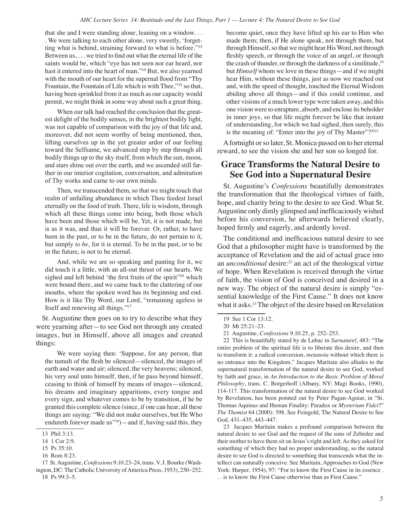that she and I were standing alone, leaning on a window. . . . We were talking to each other alone, very sweetly, 'forgetting what is behind, straining forward to what is before."<sup>13</sup> Between us, . . . we tried to find out what the eternal life of the saints would be, which "eye has not seen nor ear heard, nor hast it entered into the heart of man."<sup>14</sup> But, we also yearned with the mouth of our heart for the supernal flood from "Thy Fountain, the Fountain of Life which is with Thee,"15 so that, having been sprinkled from it as much as our capacity would permit, we might think in some way about such a great thing.

When our talk had reached the conclusion that the greatest delight of the bodily senses, in the brightest bodily light, was not capable of comparison with the joy of that life and, moreover, did not seem worthy of being mentioned, then, lifting ourselves up in the yet greater ardor of our feeling toward the Selfsame, we advanced step by step through all bodily things up to the sky itself, from which the sun, moon, and stars shine out over the earth, and we ascended still farther in our interior cogitation, conversation, and admiration of Thy works and came to our own minds.

Then, we transcended them, so that we might touch that realm of unfailing abundance in which Thou feedest Israel eternally on the food of truth. There, life is wisdom, through which all these things come into being, both those which have been and those which will be. Yet, it is not made, but is as it was, and thus it will be forever. Or, rather, to have been in the past, or to be in the future, do not pertain to it, but simply *to be*, for it is eternal. To be in the past, or to be in the future, is not to be eternal.

And, while we are so speaking and panting for it, we did touch it a little, with an all-out thrust of our hearts. We sighed and left behind 'the first fruits of the spirit"<sup>16</sup> which were bound there, and we came back to the clattering of our mouths, where the spoken word has its beginning and end. How is it like Thy Word, our Lord, "remaining ageless in Itself and renewing all things."<sup>17</sup>

St. Augustine then goes on to try to describe what they were yearning after—to see God not through any created images, but in Himself, above all images and created things:

We were saying then: 'Suppose, for any person, that the tumult of the flesh be silenced—silenced, the images of earth and water and air; silenced, the very heavens; silenced, his very soul unto himself, then, if he pass beyond himself, ceasing to think of himself by means of images—silenced, his dreams and imaginary apparitions, every tongue and every sign, and whatever comes to be by transition, if he be granted this complete silence (since, if one can hear, all these things are saying: "We did not make ourselves, but He Who endureth forever made us"<sup>18</sup>) — and if, having said this, they

become quiet, once they have lifted up his ear to Him who made them; then, if He alone speak, not through them, but through Himself, so that we might hear His Word, not through fleshly speech, or through the voice of an angel, or through the crash of thunder, or through the darkness of a similitude, $19$ but *Himself* whom we love in these things—and if we might hear Him, without these things, just as now we reached out and, with the speed of thought, touched the Eternal Wisdom abiding above all things—and if this could continue, and other visions of a much lower type were taken away, and this one vision were to enrapture, absorb, and enclose its beholder in inner joys, so that life might forever be like that instant of understanding, for which we had sighed, then surely, this is the meaning of: "Enter into the joy of Thy Master"?<sup>2021</sup>

A fortnight or so later, St. Monica passed on to her eternal reward, to see the vision she and her son so longed for.

#### **Grace Transforms the Natural Desire to See God into a Supernatural Desire**

St. Augustine's *Confessions* beautifully demonstrates the transformation that the theological virtues of faith, hope, and charity bring to the desire to see God. What St. Augustine only dimly glimpsed and inefficaciously wished before his conversion, he afterwards believed clearly, hoped firmly and eagerly, and ardently loved.

The conditional and inefficacious natural desire to see God that a philosopher might have is transformed by the acceptance of Revelation and the aid of actual grace into an *unconditional* desire:<sup>22</sup> an act of the theological virtue of hope. When Revelation is received through the virtue of faith, the vision of God is conceived and desired in a new way. The object of the natural desire is simply "essential knowledge of the First Cause." It does not know what it asks.<sup>23</sup> The object of the desire based on Revelation

22 This is beautifully stated by de Lubac in *Surnaturel*, 483: "The entire problem of the spiritual life is to liberate this desire, and then to transform it: a radical conversion, *metanoia* without which there is no entrance into the Kingdom." Jacques Maritain also alludes to the supernatural transformation of the natural desire to see God, worked by faith and grace, in *An Introduction to the Basic Problem of Moral Philosophy*, trans. C. Borgerhoff (Albany, NY: Magi Books, 1990), 114-117. This transformation of the natural desire to see God worked by Revelation, has been pointed out by Peter Pagan-Aguiar, in "St. Thomas Aquinas and Human Finality: Paradox or *Mysterium Fidei*?" *The Thomist* 64 (2000): 398. See Feingold, The Natural Desire to See God, 431–435, 443–447.

23 Jacques Maritain makes a profound comparison between the natural desire to see God and the request of the sons of Zebedee and their mother to have them sit on Jesus's right and left. As they asked for something of which they had no proper understanding, so the natural desire to see God is directed to something that transcends what the intellect can naturally conceive. See Maritain, Approaches to God (New York: Harper, 1954), 97: "For to know the First Cause in its essence. . . is to know the First Cause otherwise than as First Cause."

<sup>13</sup> Phil 3:13.

<sup>14 1</sup> Cor 2:9.

<sup>15</sup> Ps 35:10.

<sup>16</sup> Rom 8:23.

<sup>17</sup> St. Augustine, *Confessions* 9.10.23–24, trans. V. J. Bourke (Washington, DC: The Catholic University of America Press, 1953), 250–252. 18 Ps 99:3–5.

<sup>19</sup> See 1 Cor 13:12.

<sup>20</sup> Mt 25:21–23.

<sup>21</sup> Augustine, *Confessions* 9.10.25, p. 252–253.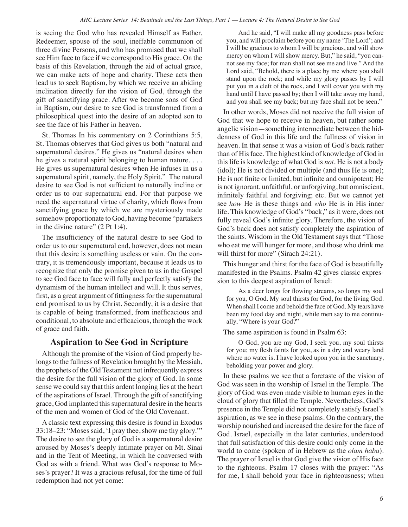is seeing the God who has revealed Himself as Father, Redeemer, spouse of the soul, ineffable communion of three divine Persons, and who has promised that we shall see Him face to face if we correspond to His grace. On the basis of this Revelation, through the aid of actual grace, we can make acts of hope and charity. These acts then lead us to seek Baptism, by which we receive an abiding inclination directly for the vision of God, through the gift of sanctifying grace. After we become sons of God in Baptism, our desire to see God is transformed from a philosophical quest into the desire of an adopted son to see the face of his Father in heaven.

St. Thomas In his commentary on 2 Corinthians 5:5, St. Thomas observes that God gives us both "natural and supernatural desires." He gives us "natural desires when he gives a natural spirit belonging to human nature. . . . He gives us supernatural desires when He infuses in us a supernatural spirit, namely, the Holy Spirit." The natural desire to see God is not sufficient to naturally incline or order us to our supernatural end. For that purpose we need the supernatural virtue of charity, which flows from sanctifying grace by which we are mysteriously made somehow proportionate to God, having become "partakers in the divine nature" (2 Pt 1:4).

The insufficiency of the natural desire to see God to order us to our supernatural end, however, does not mean that this desire is something useless or vain. On the contrary, it is tremendously important, because it leads us to recognize that only the promise given to us in the Gospel to see God face to face will fully and perfectly satisfy the dynamism of the human intellect and will. It thus serves, first, as a great argument of fittingness for the supernatural end promised to us by Christ. Secondly, it is a desire that is capable of being transformed, from inefficacious and conditional, to absolute and efficacious, through the work of grace and faith.

#### **Aspiration to See God in Scripture**

Although the promise of the vision of God properly belongs to the fullness of Revelation brought by the Messiah, the prophets of the Old Testament not infrequently express the desire for the full vision of the glory of God. In some sense we could say that this ardent longing lies at the heart of the aspirations of Israel. Through the gift of sanctifying grace, God implanted this supernatural desire in the hearts of the men and women of God of the Old Covenant.

A classic text expressing this desire is found in Exodus 33:18–23: "Moses said, 'I pray thee, show me thy glory.'" The desire to see the glory of God is a supernatural desire aroused by Moses's deeply intimate prayer on Mt. Sinai and in the Tent of Meeting, in which he conversed with God as with a friend. What was God's response to Moses's prayer? It was a gracious refusal, for the time of full redemption had not yet come:

And he said, "I will make all my goodness pass before you, and will proclaim before you my name 'The Lord'; and I will be gracious to whom I will be gracious, and will show mercy on whom I will show mercy. But," he said, "you cannot see my face; for man shall not see me and live." And the Lord said, "Behold, there is a place by me where you shall stand upon the rock; and while my glory passes by I will put you in a cleft of the rock, and I will cover you with my hand until I have passed by; then I will take away my hand, and you shall see my back; but my face shall not be seen."

In other words, Moses did not receive the full vision of God that we hope to receive in heaven, but rather some angelic vision—something intermediate between the hiddenness of God in this life and the fullness of vision in heaven. In that sense it was a vision of God's back rather than of His face. The highest kind of knowledge of God in this life is knowledge of what God is *not*. He is not a body (idol); He is not divided or multiple (and thus He is one); He is not finite or limited, but infinite and omnipotent; He is not ignorant, unfaithful, or unforgiving, but omniscient, infinitely faithful and forgiving; etc. But we cannot yet see *how* He is these things and *who* He is in His inner life. This knowledge of God's "back," as it were, does not fully reveal God's infinite glory. Therefore, the vision of God's back does not satisfy completely the aspiration of the saints. Wisdom in the Old Testament says that "Those who eat me will hunger for more, and those who drink me will thirst for more" (Sirach 24:21).

This hunger and thirst for the face of God is beautifully manifested in the Psalms. Psalm 42 gives classic expression to this deepest aspiration of Israel:

As a deer longs for flowing streams, so longs my soul for you, O God. My soul thirsts for God, for the living God. When shall I come and behold the face of God. My tears have been my food day and night, while men say to me continually, "Where is your God?"

The same aspiration is found in Psalm 63:

O God, you are my God, I seek you, my soul thirsts for you; my flesh faints for you, as in a dry and weary land where no water is. I have looked upon you in the sanctuary, beholding your power and glory.

In these psalms we see that a foretaste of the vision of God was seen in the worship of Israel in the Temple. The glory of God was even made visible to human eyes in the cloud of glory that filled the Temple. Nevertheless, God's presence in the Temple did not completely satisfy Israel's aspiration, as we see in these psalms. On the contrary, the worship nourished and increased the desire for the face of God. Israel, especially in the later centuries, understood that full satisfaction of this desire could only come in the world to come (spoken of in Hebrew as the *olam haba*). The prayer of Israel is that God give the vision of His face to the righteous. Psalm 17 closes with the prayer: "As for me, I shall behold your face in righteousness; when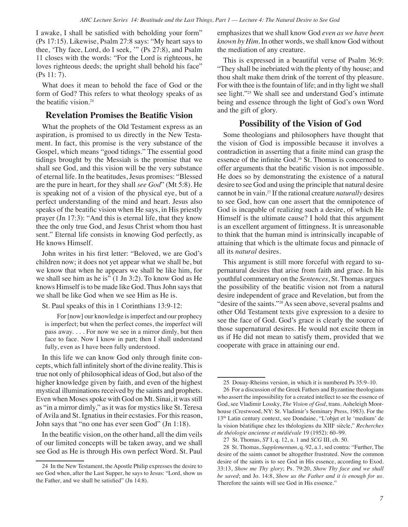I awake, I shall be satisfied with beholding your form" (Ps 17:15). Likewise, Psalm 27:8 says: "My heart says to thee, 'Thy face, Lord, do I seek, '" (Ps 27:8), and Psalm 11 closes with the words: "For the Lord is righteous, he loves righteous deeds; the upright shall behold his face" (Ps 11: 7).

What does it mean to behold the face of God or the form of God? This refers to what theology speaks of as the beatific vision.24

#### **Revelation Promises the Beatific Vision**

What the prophets of the Old Testament express as an aspiration, is promised to us directly in the New Testament. In fact, this promise is the very substance of the Gospel, which means "good tidings." The essential good tidings brought by the Messiah is the promise that we shall see God, and this vision will be the very substance of eternal life. In the beatitudes, Jesus promises: "Blessed are the pure in heart, for they shall *see God*" (Mt 5:8). He is speaking not of a vision of the physical eye, but of a perfect understanding of the mind and heart. Jesus also speaks of the beatific vision when He says, in His priestly prayer (Jn 17:3): "And this is eternal life, that they know thee the only true God, and Jesus Christ whom thou hast sent." Eternal life consists in knowing God perfectly, as He knows Himself.

John writes in his first letter: "Beloved, we are God's children now; it does not yet appear what we shall be, but we know that when he appears we shall be like him, for we shall see him as he is" (1 Jn 3:2). To know God as He knows Himself is to be made like God. Thus John says that we shall be like God when we see Him as He is.

St. Paul speaks of this in 1 Corinthians 13:9-12:

For [now] our knowledge is imperfect and our prophecy is imperfect; but when the perfect comes, the imperfect will pass away. . . . For now we see in a mirror dimly, but then face to face. Now I know in part; then I shall understand fully, even as I have been fully understood.

In this life we can know God only through finite concepts, which fall infinitely short of the divine reality. This is true not only of philosophical ideas of God, but also of the higher knowledge given by faith, and even of the highest mystical illuminations received by the saints and prophets. Even when Moses spoke with God on Mt. Sinai, it was still as "in a mirror dimly," as it was for mystics like St. Teresa of Avila and St. Ignatius in their ecstasies. For this reason, John says that "no one has ever seen God" (Jn 1:18).

In the beatific vision, on the other hand, all the dim veils of our limited concepts will be taken away, and we shall see God as He is through His own perfect Word. St. Paul

emphasizes that we shall know God *even as we have been known by Him*. In other words, we shall know God without the mediation of any creature.

This is expressed in a beautiful verse of Psalm 36:9: "They shall be inebriated with the plenty of thy house; and thou shalt make them drink of the torrent of thy pleasure. For with thee is the fountain of life; and in thy light we shall see light."<sup>25</sup> We shall see and understand God's intimate being and essence through the light of God's own Word and the gift of glory.

#### **Possibility of the Vision of God**

Some theologians and philosophers have thought that the vision of God is impossible because it involves a contradiction in asserting that a finite mind can grasp the essence of the infinite God.<sup>26</sup> St. Thomas is concerned to offer arguments that the beatific vision is not impossible. He does so by demonstrating the existence of a natural desire to see God and using the principle that natural desire cannot be in vain.27 If the rational creature *naturally* desires to see God, how can one assert that the omnipotence of God is incapable of realizing such a desire, of which He Himself is the ultimate cause? I hold that this argument is an excellent argument of fittingness. It is unreasonable to think that the human mind is intrinsically incapable of attaining that which is the ultimate focus and pinnacle of all its *natural* desires.

This argument is still more forceful with regard to supernatural desires that arise from faith and grace. In his youthful commentary on the *Sentences*, St. Thomas argues the possibility of the beatific vision not from a natural desire independent of grace and Revelation, but from the "desire of the saints."28 As seen above, several psalms and other Old Testament texts give expression to a desire to see the face of God. God's grace is clearly the source of those supernatural desires. He would not excite them in us if He did not mean to satisfy them, provided that we cooperate with grace in attaining our end.

<sup>24</sup> In the New Testament, the Apostle Philip expresses the desire to see God when, after the Last Supper, he says to Jesus: "Lord, show us the Father, and we shall be satisfied" (Jn 14:8).

<sup>25</sup> Douay-Rheims version, in which it is numbered Ps 35:9–10.

<sup>26</sup> For a discussion of the Greek Fathers and Byzantine theologians who assert the impossibility for a created intellect to see the essence of God, see Vladimir Lossky, *The Vision of God*, trans. Asheleigh Moorhouse (Crestwood, NY: St. Vladimir's Seminary Press, 1983). For the 13th Latin century context, see Dondaine, "L'objet et le 'medium' de la vision béatifique chez les théologiens du XIIIe siècle," *Recherches de théologie ancienne et médiévale* 19 (1952): 60–99.

<sup>27</sup> St. Thomas, *ST* I, q. 12, a. 1 and *SCG* III, ch. 50.

<sup>28</sup> St. Thomas, *Supplementum*, q. 92, a.1, sed contra: "Further, The desire of the saints cannot be altogether frustrated. Now the common desire of the saints is to see God in His essence, according to Exod. 33:13, *Show me Thy glory*; Ps. 79:20, *Show Thy face and we shall be saved*; and Jo. 14:8, *Show us the Father and it is enough for us*. Therefore the saints will see God in His essence."